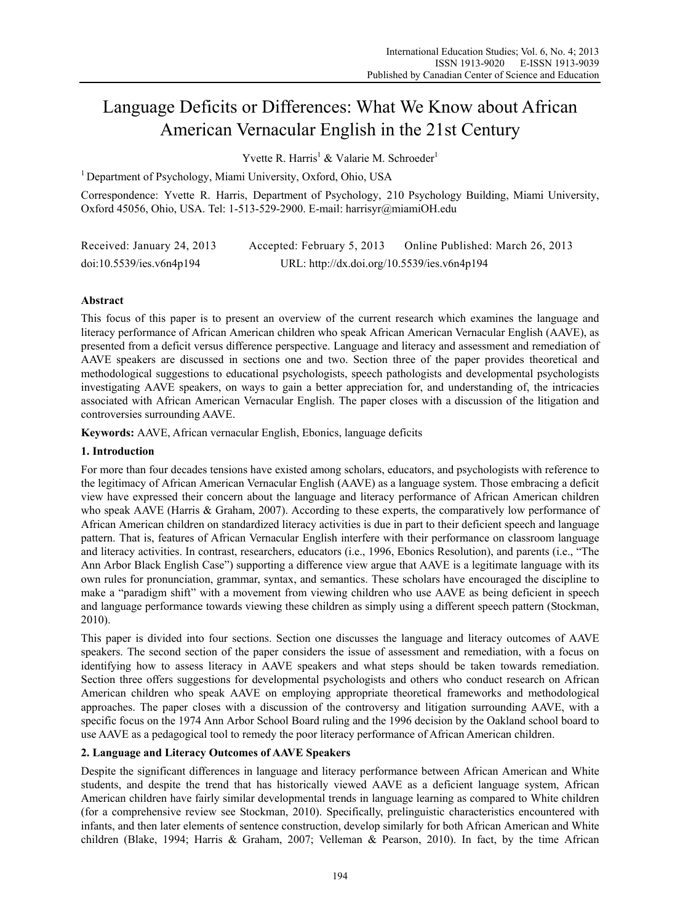# Language Deficits or Differences: What We Know about African American Vernacular English in the 21st Century

Yvette R. Harris<sup>1</sup> & Valarie M. Schroeder<sup>1</sup>

1 Department of Psychology, Miami University, Oxford, Ohio, USA

Correspondence: Yvette R. Harris, Department of Psychology, 210 Psychology Building, Miami University, Oxford 45056, Ohio, USA. Tel: 1-513-529-2900. E-mail: harrisyr@miamiOH.edu

| Received: January 24, 2013 | Accepted: February 5, 2013                  | Online Published: March 26, 2013 |
|----------------------------|---------------------------------------------|----------------------------------|
| doi:10.5539/ies.v6n4p194   | URL: http://dx.doi.org/10.5539/ies.v6n4p194 |                                  |

# **Abstract**

This focus of this paper is to present an overview of the current research which examines the language and literacy performance of African American children who speak African American Vernacular English (AAVE), as presented from a deficit versus difference perspective. Language and literacy and assessment and remediation of AAVE speakers are discussed in sections one and two. Section three of the paper provides theoretical and methodological suggestions to educational psychologists, speech pathologists and developmental psychologists investigating AAVE speakers, on ways to gain a better appreciation for, and understanding of, the intricacies associated with African American Vernacular English. The paper closes with a discussion of the litigation and controversies surrounding AAVE.

**Keywords:** AAVE, African vernacular English, Ebonics, language deficits

### **1. Introduction**

For more than four decades tensions have existed among scholars, educators, and psychologists with reference to the legitimacy of African American Vernacular English (AAVE) as a language system. Those embracing a deficit view have expressed their concern about the language and literacy performance of African American children who speak AAVE (Harris & Graham, 2007). According to these experts, the comparatively low performance of African American children on standardized literacy activities is due in part to their deficient speech and language pattern. That is, features of African Vernacular English interfere with their performance on classroom language and literacy activities. In contrast, researchers, educators (i.e., 1996, Ebonics Resolution), and parents (i.e., "The Ann Arbor Black English Case") supporting a difference view argue that AAVE is a legitimate language with its own rules for pronunciation, grammar, syntax, and semantics. These scholars have encouraged the discipline to make a "paradigm shift" with a movement from viewing children who use AAVE as being deficient in speech and language performance towards viewing these children as simply using a different speech pattern (Stockman, 2010).

This paper is divided into four sections. Section one discusses the language and literacy outcomes of AAVE speakers. The second section of the paper considers the issue of assessment and remediation, with a focus on identifying how to assess literacy in AAVE speakers and what steps should be taken towards remediation. Section three offers suggestions for developmental psychologists and others who conduct research on African American children who speak AAVE on employing appropriate theoretical frameworks and methodological approaches. The paper closes with a discussion of the controversy and litigation surrounding AAVE, with a specific focus on the 1974 Ann Arbor School Board ruling and the 1996 decision by the Oakland school board to use AAVE as a pedagogical tool to remedy the poor literacy performance of African American children.

### **2. Language and Literacy Outcomes of AAVE Speakers**

Despite the significant differences in language and literacy performance between African American and White students, and despite the trend that has historically viewed AAVE as a deficient language system, African American children have fairly similar developmental trends in language learning as compared to White children (for a comprehensive review see Stockman, 2010). Specifically, prelinguistic characteristics encountered with infants, and then later elements of sentence construction, develop similarly for both African American and White children (Blake, 1994; Harris & Graham, 2007; Velleman & Pearson, 2010). In fact, by the time African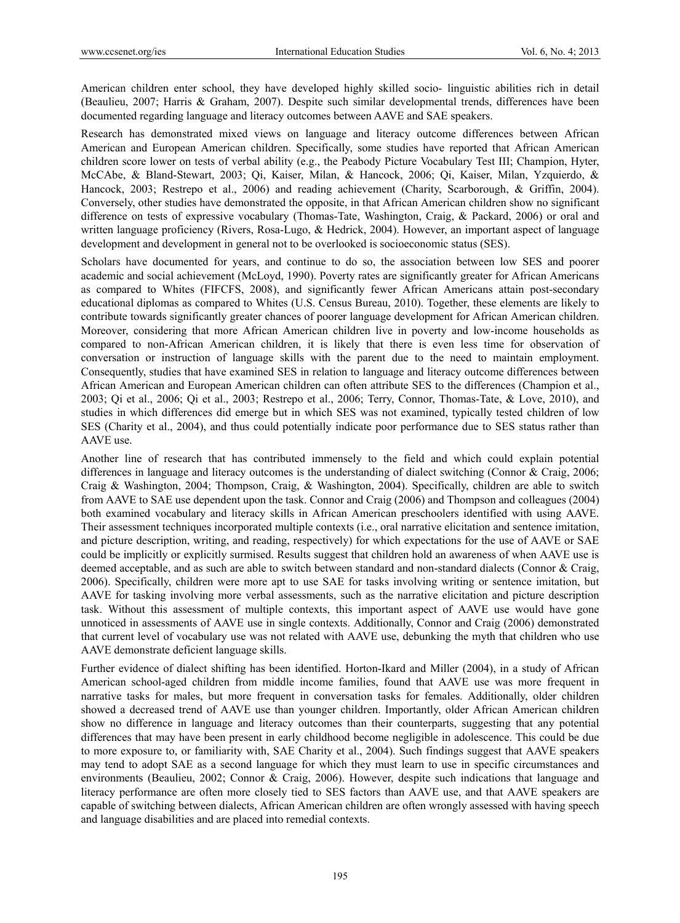American children enter school, they have developed highly skilled socio- linguistic abilities rich in detail (Beaulieu, 2007; Harris & Graham, 2007). Despite such similar developmental trends, differences have been documented regarding language and literacy outcomes between AAVE and SAE speakers.

Research has demonstrated mixed views on language and literacy outcome differences between African American and European American children. Specifically, some studies have reported that African American children score lower on tests of verbal ability (e.g., the Peabody Picture Vocabulary Test III; Champion, Hyter, McCAbe, & Bland-Stewart, 2003; Qi, Kaiser, Milan, & Hancock, 2006; Qi, Kaiser, Milan, Yzquierdo, & Hancock, 2003; Restrepo et al., 2006) and reading achievement (Charity, Scarborough, & Griffin, 2004). Conversely, other studies have demonstrated the opposite, in that African American children show no significant difference on tests of expressive vocabulary (Thomas-Tate, Washington, Craig, & Packard, 2006) or oral and written language proficiency (Rivers, Rosa-Lugo, & Hedrick, 2004). However, an important aspect of language development and development in general not to be overlooked is socioeconomic status (SES).

Scholars have documented for years, and continue to do so, the association between low SES and poorer academic and social achievement (McLoyd, 1990). Poverty rates are significantly greater for African Americans as compared to Whites (FIFCFS, 2008), and significantly fewer African Americans attain post-secondary educational diplomas as compared to Whites (U.S. Census Bureau, 2010). Together, these elements are likely to contribute towards significantly greater chances of poorer language development for African American children. Moreover, considering that more African American children live in poverty and low-income households as compared to non-African American children, it is likely that there is even less time for observation of conversation or instruction of language skills with the parent due to the need to maintain employment. Consequently, studies that have examined SES in relation to language and literacy outcome differences between African American and European American children can often attribute SES to the differences (Champion et al., 2003; Qi et al., 2006; Qi et al., 2003; Restrepo et al., 2006; Terry, Connor, Thomas-Tate, & Love, 2010), and studies in which differences did emerge but in which SES was not examined, typically tested children of low SES (Charity et al., 2004), and thus could potentially indicate poor performance due to SES status rather than AAVE use.

Another line of research that has contributed immensely to the field and which could explain potential differences in language and literacy outcomes is the understanding of dialect switching (Connor & Craig, 2006; Craig & Washington, 2004; Thompson, Craig, & Washington, 2004). Specifically, children are able to switch from AAVE to SAE use dependent upon the task. Connor and Craig (2006) and Thompson and colleagues (2004) both examined vocabulary and literacy skills in African American preschoolers identified with using AAVE. Their assessment techniques incorporated multiple contexts (i.e., oral narrative elicitation and sentence imitation, and picture description, writing, and reading, respectively) for which expectations for the use of AAVE or SAE could be implicitly or explicitly surmised. Results suggest that children hold an awareness of when AAVE use is deemed acceptable, and as such are able to switch between standard and non-standard dialects (Connor & Craig, 2006). Specifically, children were more apt to use SAE for tasks involving writing or sentence imitation, but AAVE for tasking involving more verbal assessments, such as the narrative elicitation and picture description task. Without this assessment of multiple contexts, this important aspect of AAVE use would have gone unnoticed in assessments of AAVE use in single contexts. Additionally, Connor and Craig (2006) demonstrated that current level of vocabulary use was not related with AAVE use, debunking the myth that children who use AAVE demonstrate deficient language skills.

Further evidence of dialect shifting has been identified. Horton-Ikard and Miller (2004), in a study of African American school-aged children from middle income families, found that AAVE use was more frequent in narrative tasks for males, but more frequent in conversation tasks for females. Additionally, older children showed a decreased trend of AAVE use than younger children. Importantly, older African American children show no difference in language and literacy outcomes than their counterparts, suggesting that any potential differences that may have been present in early childhood become negligible in adolescence. This could be due to more exposure to, or familiarity with, SAE Charity et al., 2004). Such findings suggest that AAVE speakers may tend to adopt SAE as a second language for which they must learn to use in specific circumstances and environments (Beaulieu, 2002; Connor & Craig, 2006). However, despite such indications that language and literacy performance are often more closely tied to SES factors than AAVE use, and that AAVE speakers are capable of switching between dialects, African American children are often wrongly assessed with having speech and language disabilities and are placed into remedial contexts.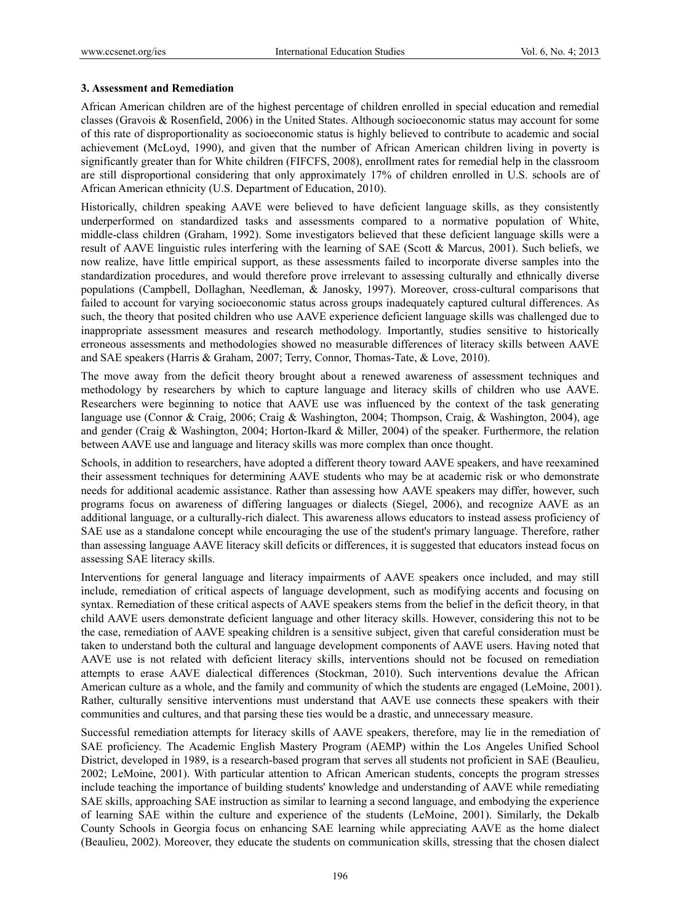### **3. Assessment and Remediation**

African American children are of the highest percentage of children enrolled in special education and remedial classes (Gravois & Rosenfield, 2006) in the United States. Although socioeconomic status may account for some of this rate of disproportionality as socioeconomic status is highly believed to contribute to academic and social achievement (McLoyd, 1990), and given that the number of African American children living in poverty is significantly greater than for White children (FIFCFS, 2008), enrollment rates for remedial help in the classroom are still disproportional considering that only approximately 17% of children enrolled in U.S. schools are of African American ethnicity (U.S. Department of Education, 2010).

Historically, children speaking AAVE were believed to have deficient language skills, as they consistently underperformed on standardized tasks and assessments compared to a normative population of White, middle-class children (Graham, 1992). Some investigators believed that these deficient language skills were a result of AAVE linguistic rules interfering with the learning of SAE (Scott & Marcus, 2001). Such beliefs, we now realize, have little empirical support, as these assessments failed to incorporate diverse samples into the standardization procedures, and would therefore prove irrelevant to assessing culturally and ethnically diverse populations (Campbell, Dollaghan, Needleman, & Janosky, 1997). Moreover, cross-cultural comparisons that failed to account for varying socioeconomic status across groups inadequately captured cultural differences. As such, the theory that posited children who use AAVE experience deficient language skills was challenged due to inappropriate assessment measures and research methodology. Importantly, studies sensitive to historically erroneous assessments and methodologies showed no measurable differences of literacy skills between AAVE and SAE speakers (Harris & Graham, 2007; Terry, Connor, Thomas-Tate, & Love, 2010).

The move away from the deficit theory brought about a renewed awareness of assessment techniques and methodology by researchers by which to capture language and literacy skills of children who use AAVE. Researchers were beginning to notice that AAVE use was influenced by the context of the task generating language use (Connor & Craig, 2006; Craig & Washington, 2004; Thompson, Craig, & Washington, 2004), age and gender (Craig & Washington, 2004; Horton-Ikard & Miller, 2004) of the speaker. Furthermore, the relation between AAVE use and language and literacy skills was more complex than once thought.

Schools, in addition to researchers, have adopted a different theory toward AAVE speakers, and have reexamined their assessment techniques for determining AAVE students who may be at academic risk or who demonstrate needs for additional academic assistance. Rather than assessing how AAVE speakers may differ, however, such programs focus on awareness of differing languages or dialects (Siegel, 2006), and recognize AAVE as an additional language, or a culturally-rich dialect. This awareness allows educators to instead assess proficiency of SAE use as a standalone concept while encouraging the use of the student's primary language. Therefore, rather than assessing language AAVE literacy skill deficits or differences, it is suggested that educators instead focus on assessing SAE literacy skills.

Interventions for general language and literacy impairments of AAVE speakers once included, and may still include, remediation of critical aspects of language development, such as modifying accents and focusing on syntax. Remediation of these critical aspects of AAVE speakers stems from the belief in the deficit theory, in that child AAVE users demonstrate deficient language and other literacy skills. However, considering this not to be the case, remediation of AAVE speaking children is a sensitive subject, given that careful consideration must be taken to understand both the cultural and language development components of AAVE users. Having noted that AAVE use is not related with deficient literacy skills, interventions should not be focused on remediation attempts to erase AAVE dialectical differences (Stockman, 2010). Such interventions devalue the African American culture as a whole, and the family and community of which the students are engaged (LeMoine, 2001). Rather, culturally sensitive interventions must understand that AAVE use connects these speakers with their communities and cultures, and that parsing these ties would be a drastic, and unnecessary measure.

Successful remediation attempts for literacy skills of AAVE speakers, therefore, may lie in the remediation of SAE proficiency. The Academic English Mastery Program (AEMP) within the Los Angeles Unified School District, developed in 1989, is a research-based program that serves all students not proficient in SAE (Beaulieu, 2002; LeMoine, 2001). With particular attention to African American students, concepts the program stresses include teaching the importance of building students' knowledge and understanding of AAVE while remediating SAE skills, approaching SAE instruction as similar to learning a second language, and embodying the experience of learning SAE within the culture and experience of the students (LeMoine, 2001). Similarly, the Dekalb County Schools in Georgia focus on enhancing SAE learning while appreciating AAVE as the home dialect (Beaulieu, 2002). Moreover, they educate the students on communication skills, stressing that the chosen dialect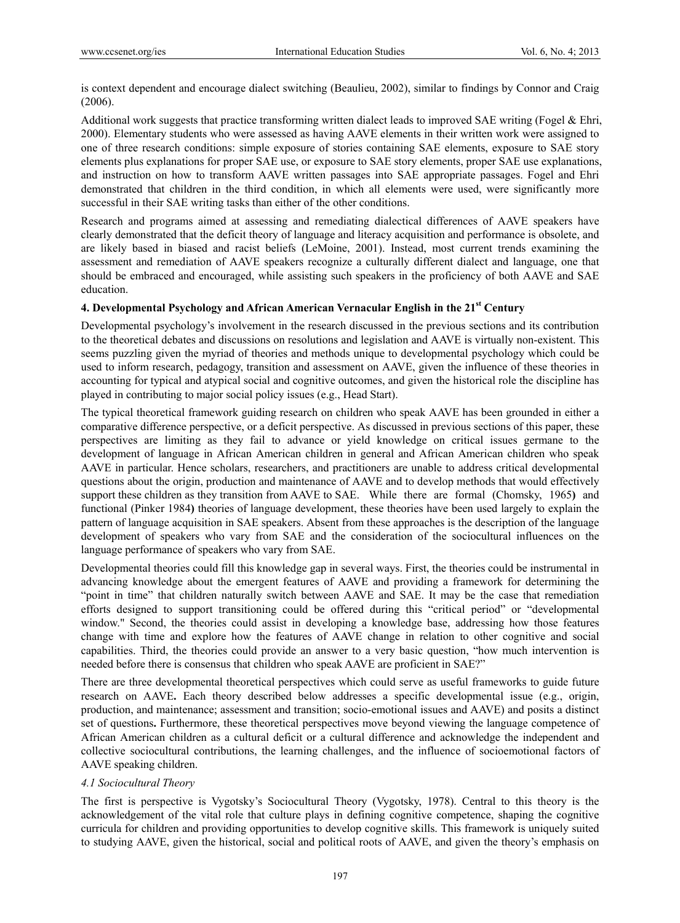is context dependent and encourage dialect switching (Beaulieu, 2002), similar to findings by Connor and Craig (2006).

Additional work suggests that practice transforming written dialect leads to improved SAE writing (Fogel & Ehri, 2000). Elementary students who were assessed as having AAVE elements in their written work were assigned to one of three research conditions: simple exposure of stories containing SAE elements, exposure to SAE story elements plus explanations for proper SAE use, or exposure to SAE story elements, proper SAE use explanations, and instruction on how to transform AAVE written passages into SAE appropriate passages. Fogel and Ehri demonstrated that children in the third condition, in which all elements were used, were significantly more successful in their SAE writing tasks than either of the other conditions.

Research and programs aimed at assessing and remediating dialectical differences of AAVE speakers have clearly demonstrated that the deficit theory of language and literacy acquisition and performance is obsolete, and are likely based in biased and racist beliefs (LeMoine, 2001). Instead, most current trends examining the assessment and remediation of AAVE speakers recognize a culturally different dialect and language, one that should be embraced and encouraged, while assisting such speakers in the proficiency of both AAVE and SAE education.

# **4. Developmental Psychology and African American Vernacular English in the 21st Century**

Developmental psychology's involvement in the research discussed in the previous sections and its contribution to the theoretical debates and discussions on resolutions and legislation and AAVE is virtually non-existent. This seems puzzling given the myriad of theories and methods unique to developmental psychology which could be used to inform research, pedagogy, transition and assessment on AAVE, given the influence of these theories in accounting for typical and atypical social and cognitive outcomes, and given the historical role the discipline has played in contributing to major social policy issues (e.g., Head Start).

The typical theoretical framework guiding research on children who speak AAVE has been grounded in either a comparative difference perspective, or a deficit perspective. As discussed in previous sections of this paper, these perspectives are limiting as they fail to advance or yield knowledge on critical issues germane to the development of language in African American children in general and African American children who speak AAVE in particular. Hence scholars, researchers, and practitioners are unable to address critical developmental questions about the origin, production and maintenance of AAVE and to develop methods that would effectively support these children as they transition from AAVE to SAE. While there are formal (Chomsky, 1965**)** and functional (Pinker 1984**)** theories of language development, these theories have been used largely to explain the pattern of language acquisition in SAE speakers. Absent from these approaches is the description of the language development of speakers who vary from SAE and the consideration of the sociocultural influences on the language performance of speakers who vary from SAE.

Developmental theories could fill this knowledge gap in several ways. First, the theories could be instrumental in advancing knowledge about the emergent features of AAVE and providing a framework for determining the "point in time" that children naturally switch between AAVE and SAE. It may be the case that remediation efforts designed to support transitioning could be offered during this "critical period" or "developmental window." Second, the theories could assist in developing a knowledge base, addressing how those features change with time and explore how the features of AAVE change in relation to other cognitive and social capabilities. Third, the theories could provide an answer to a very basic question, "how much intervention is needed before there is consensus that children who speak AAVE are proficient in SAE?"

There are three developmental theoretical perspectives which could serve as useful frameworks to guide future research on AAVE**.** Each theory described below addresses a specific developmental issue (e.g., origin, production, and maintenance; assessment and transition; socio-emotional issues and AAVE) and posits a distinct set of questions**.** Furthermore, these theoretical perspectives move beyond viewing the language competence of African American children as a cultural deficit or a cultural difference and acknowledge the independent and collective sociocultural contributions, the learning challenges, and the influence of socioemotional factors of AAVE speaking children.

# *4.1 Sociocultural Theory*

The first is perspective is Vygotsky's Sociocultural Theory (Vygotsky, 1978). Central to this theory is the acknowledgement of the vital role that culture plays in defining cognitive competence, shaping the cognitive curricula for children and providing opportunities to develop cognitive skills. This framework is uniquely suited to studying AAVE, given the historical, social and political roots of AAVE, and given the theory's emphasis on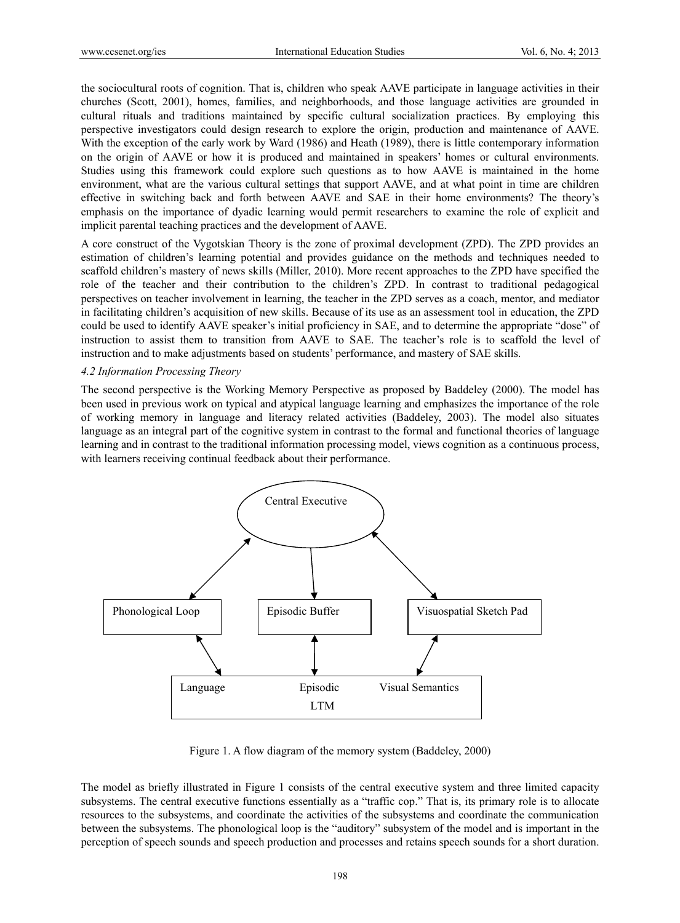the sociocultural roots of cognition. That is, children who speak AAVE participate in language activities in their churches (Scott, 2001), homes, families, and neighborhoods, and those language activities are grounded in cultural rituals and traditions maintained by specific cultural socialization practices. By employing this perspective investigators could design research to explore the origin, production and maintenance of AAVE. With the exception of the early work by Ward (1986) and Heath (1989), there is little contemporary information on the origin of AAVE or how it is produced and maintained in speakers' homes or cultural environments. Studies using this framework could explore such questions as to how AAVE is maintained in the home environment, what are the various cultural settings that support AAVE, and at what point in time are children effective in switching back and forth between AAVE and SAE in their home environments? The theory's emphasis on the importance of dyadic learning would permit researchers to examine the role of explicit and implicit parental teaching practices and the development of AAVE.

A core construct of the Vygotskian Theory is the zone of proximal development (ZPD). The ZPD provides an estimation of children's learning potential and provides guidance on the methods and techniques needed to scaffold children's mastery of news skills (Miller, 2010). More recent approaches to the ZPD have specified the role of the teacher and their contribution to the children's ZPD. In contrast to traditional pedagogical perspectives on teacher involvement in learning, the teacher in the ZPD serves as a coach, mentor, and mediator in facilitating children's acquisition of new skills. Because of its use as an assessment tool in education, the ZPD could be used to identify AAVE speaker's initial proficiency in SAE, and to determine the appropriate "dose" of instruction to assist them to transition from AAVE to SAE. The teacher's role is to scaffold the level of instruction and to make adjustments based on students' performance, and mastery of SAE skills.

### *4.2 Information Processing Theory*

The second perspective is the Working Memory Perspective as proposed by Baddeley (2000). The model has been used in previous work on typical and atypical language learning and emphasizes the importance of the role of working memory in language and literacy related activities (Baddeley, 2003). The model also situates language as an integral part of the cognitive system in contrast to the formal and functional theories of language learning and in contrast to the traditional information processing model, views cognition as a continuous process, with learners receiving continual feedback about their performance.



Figure 1. A flow diagram of the memory system (Baddeley, 2000)

The model as briefly illustrated in Figure 1 consists of the central executive system and three limited capacity subsystems. The central executive functions essentially as a "traffic cop." That is, its primary role is to allocate resources to the subsystems, and coordinate the activities of the subsystems and coordinate the communication between the subsystems. The phonological loop is the "auditory" subsystem of the model and is important in the perception of speech sounds and speech production and processes and retains speech sounds for a short duration.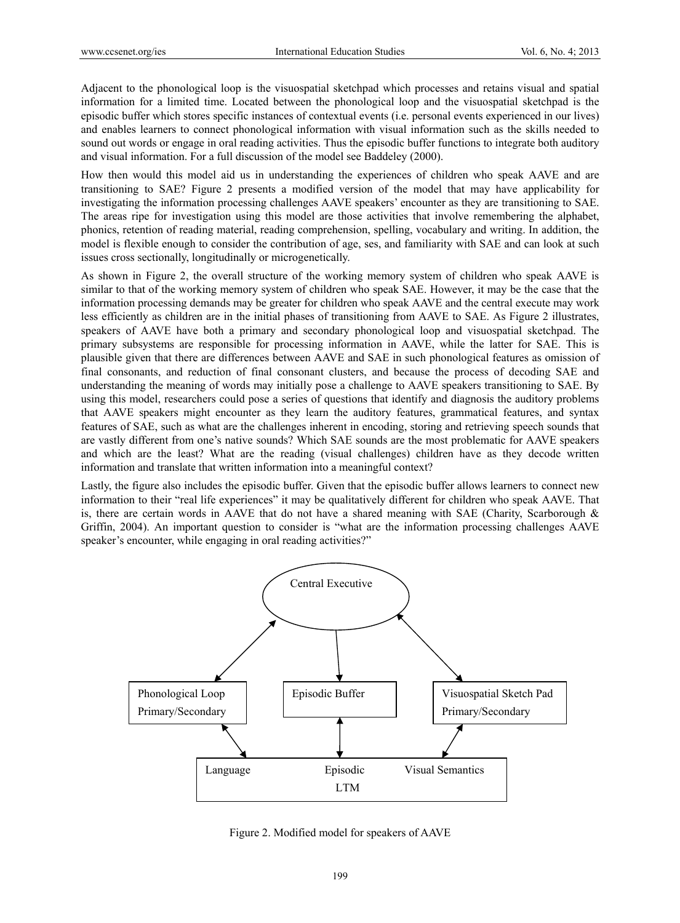Adjacent to the phonological loop is the visuospatial sketchpad which processes and retains visual and spatial information for a limited time. Located between the phonological loop and the visuospatial sketchpad is the episodic buffer which stores specific instances of contextual events (i.e. personal events experienced in our lives) and enables learners to connect phonological information with visual information such as the skills needed to sound out words or engage in oral reading activities. Thus the episodic buffer functions to integrate both auditory and visual information. For a full discussion of the model see Baddeley (2000).

How then would this model aid us in understanding the experiences of children who speak AAVE and are transitioning to SAE? Figure 2 presents a modified version of the model that may have applicability for investigating the information processing challenges AAVE speakers' encounter as they are transitioning to SAE. The areas ripe for investigation using this model are those activities that involve remembering the alphabet, phonics, retention of reading material, reading comprehension, spelling, vocabulary and writing. In addition, the model is flexible enough to consider the contribution of age, ses, and familiarity with SAE and can look at such issues cross sectionally, longitudinally or microgenetically.

As shown in Figure 2, the overall structure of the working memory system of children who speak AAVE is similar to that of the working memory system of children who speak SAE. However, it may be the case that the information processing demands may be greater for children who speak AAVE and the central execute may work less efficiently as children are in the initial phases of transitioning from AAVE to SAE. As Figure 2 illustrates, speakers of AAVE have both a primary and secondary phonological loop and visuospatial sketchpad. The primary subsystems are responsible for processing information in AAVE, while the latter for SAE. This is plausible given that there are differences between AAVE and SAE in such phonological features as omission of final consonants, and reduction of final consonant clusters, and because the process of decoding SAE and understanding the meaning of words may initially pose a challenge to AAVE speakers transitioning to SAE. By using this model, researchers could pose a series of questions that identify and diagnosis the auditory problems that AAVE speakers might encounter as they learn the auditory features, grammatical features, and syntax features of SAE, such as what are the challenges inherent in encoding, storing and retrieving speech sounds that are vastly different from one's native sounds? Which SAE sounds are the most problematic for AAVE speakers and which are the least? What are the reading (visual challenges) children have as they decode written information and translate that written information into a meaningful context?

Lastly, the figure also includes the episodic buffer. Given that the episodic buffer allows learners to connect new information to their "real life experiences" it may be qualitatively different for children who speak AAVE. That is, there are certain words in AAVE that do not have a shared meaning with SAE (Charity, Scarborough & Griffin, 2004). An important question to consider is "what are the information processing challenges AAVE speaker's encounter, while engaging in oral reading activities?"



Figure 2. Modified model for speakers of AAVE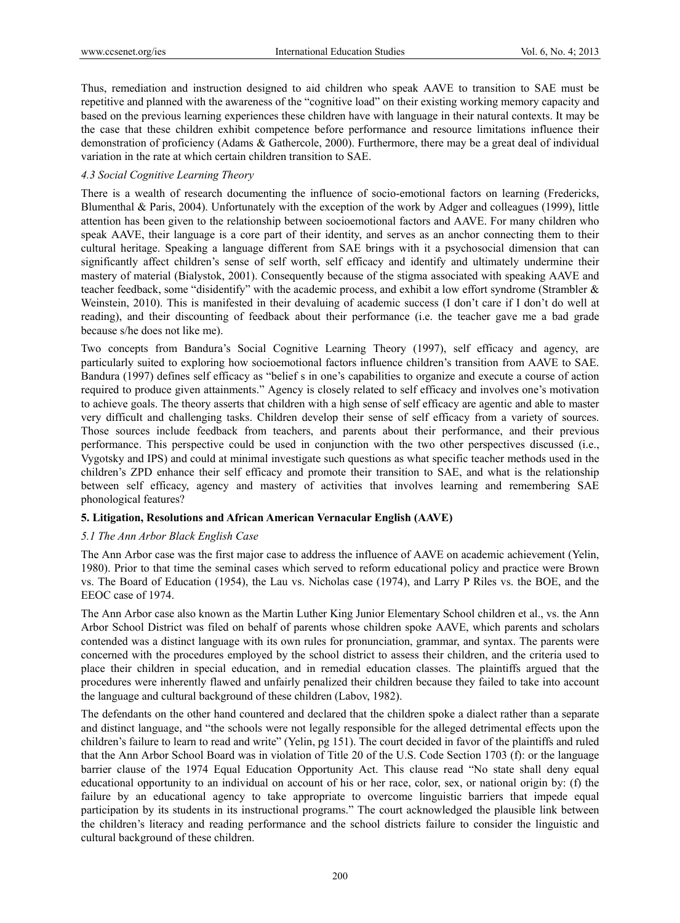Thus, remediation and instruction designed to aid children who speak AAVE to transition to SAE must be repetitive and planned with the awareness of the "cognitive load" on their existing working memory capacity and based on the previous learning experiences these children have with language in their natural contexts. It may be the case that these children exhibit competence before performance and resource limitations influence their demonstration of proficiency (Adams & Gathercole, 2000). Furthermore, there may be a great deal of individual variation in the rate at which certain children transition to SAE.

## *4.3 Social Cognitive Learning Theory*

There is a wealth of research documenting the influence of socio-emotional factors on learning (Fredericks, Blumenthal & Paris, 2004). Unfortunately with the exception of the work by Adger and colleagues (1999), little attention has been given to the relationship between socioemotional factors and AAVE. For many children who speak AAVE, their language is a core part of their identity, and serves as an anchor connecting them to their cultural heritage. Speaking a language different from SAE brings with it a psychosocial dimension that can significantly affect children's sense of self worth, self efficacy and identify and ultimately undermine their mastery of material (Bialystok, 2001). Consequently because of the stigma associated with speaking AAVE and teacher feedback, some "disidentify" with the academic process, and exhibit a low effort syndrome (Strambler & Weinstein, 2010). This is manifested in their devaluing of academic success (I don't care if I don't do well at reading), and their discounting of feedback about their performance (i.e. the teacher gave me a bad grade because s/he does not like me).

Two concepts from Bandura's Social Cognitive Learning Theory (1997), self efficacy and agency, are particularly suited to exploring how socioemotional factors influence children's transition from AAVE to SAE. Bandura (1997) defines self efficacy as "belief s in one's capabilities to organize and execute a course of action required to produce given attainments." Agency is closely related to self efficacy and involves one's motivation to achieve goals. The theory asserts that children with a high sense of self efficacy are agentic and able to master very difficult and challenging tasks. Children develop their sense of self efficacy from a variety of sources. Those sources include feedback from teachers, and parents about their performance, and their previous performance. This perspective could be used in conjunction with the two other perspectives discussed (i.e., Vygotsky and IPS) and could at minimal investigate such questions as what specific teacher methods used in the children's ZPD enhance their self efficacy and promote their transition to SAE, and what is the relationship between self efficacy, agency and mastery of activities that involves learning and remembering SAE phonological features?

### **5. Litigation, Resolutions and African American Vernacular English (AAVE)**

### *5.1 The Ann Arbor Black English Case*

The Ann Arbor case was the first major case to address the influence of AAVE on academic achievement (Yelin, 1980). Prior to that time the seminal cases which served to reform educational policy and practice were Brown vs. The Board of Education (1954), the Lau vs. Nicholas case (1974), and Larry P Riles vs. the BOE, and the EEOC case of 1974.

The Ann Arbor case also known as the Martin Luther King Junior Elementary School children et al., vs. the Ann Arbor School District was filed on behalf of parents whose children spoke AAVE, which parents and scholars contended was a distinct language with its own rules for pronunciation, grammar, and syntax. The parents were concerned with the procedures employed by the school district to assess their children, and the criteria used to place their children in special education, and in remedial education classes. The plaintiffs argued that the procedures were inherently flawed and unfairly penalized their children because they failed to take into account the language and cultural background of these children (Labov, 1982).

The defendants on the other hand countered and declared that the children spoke a dialect rather than a separate and distinct language, and "the schools were not legally responsible for the alleged detrimental effects upon the children's failure to learn to read and write" (Yelin, pg 151). The court decided in favor of the plaintiffs and ruled that the Ann Arbor School Board was in violation of Title 20 of the U.S. Code Section 1703 (f): or the language barrier clause of the 1974 Equal Education Opportunity Act. This clause read "No state shall deny equal educational opportunity to an individual on account of his or her race, color, sex, or national origin by: (f) the failure by an educational agency to take appropriate to overcome linguistic barriers that impede equal participation by its students in its instructional programs." The court acknowledged the plausible link between the children's literacy and reading performance and the school districts failure to consider the linguistic and cultural background of these children.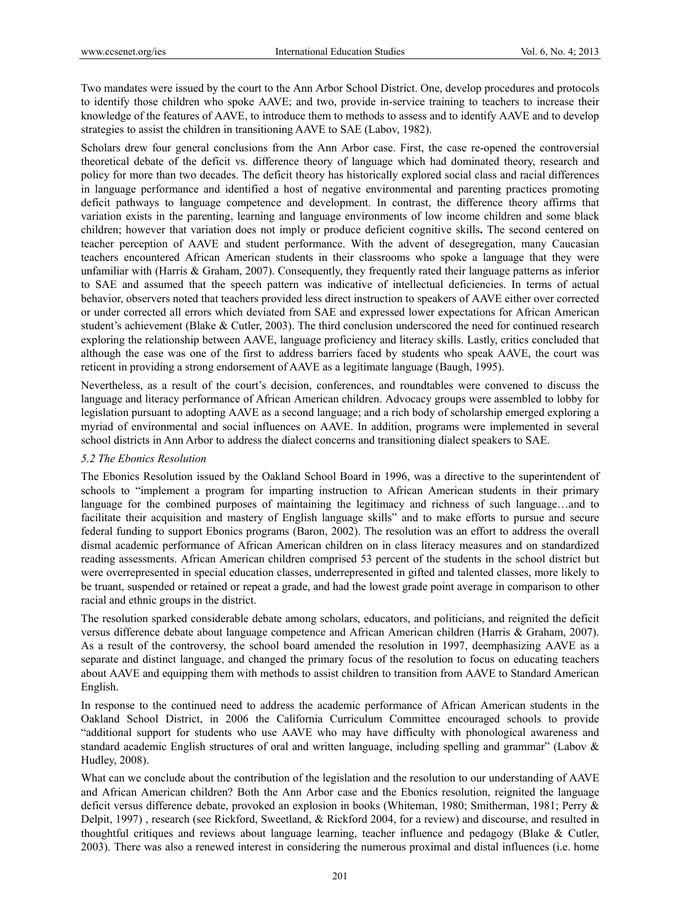Two mandates were issued by the court to the Ann Arbor School District. One, develop procedures and protocols to identify those children who spoke AAVE; and two, provide in-service training to teachers to increase their knowledge of the features of AAVE, to introduce them to methods to assess and to identify AAVE and to develop strategies to assist the children in transitioning AAVE to SAE (Labov, 1982).

Scholars drew four general conclusions from the Ann Arbor case. First, the case re-opened the controversial theoretical debate of the deficit vs. difference theory of language which had dominated theory, research and policy for more than two decades. The deficit theory has historically explored social class and racial differences in language performance and identified a host of negative environmental and parenting practices promoting deficit pathways to language competence and development. In contrast, the difference theory affirms that variation exists in the parenting, learning and language environments of low income children and some black children; however that variation does not imply or produce deficient cognitive skills**.** The second centered on teacher perception of AAVE and student performance. With the advent of desegregation, many Caucasian teachers encountered African American students in their classrooms who spoke a language that they were unfamiliar with (Harris & Graham, 2007). Consequently, they frequently rated their language patterns as inferior to SAE and assumed that the speech pattern was indicative of intellectual deficiencies. In terms of actual behavior, observers noted that teachers provided less direct instruction to speakers of AAVE either over corrected or under corrected all errors which deviated from SAE and expressed lower expectations for African American student's achievement (Blake & Cutler, 2003). The third conclusion underscored the need for continued research exploring the relationship between AAVE, language proficiency and literacy skills. Lastly, critics concluded that although the case was one of the first to address barriers faced by students who speak AAVE, the court was reticent in providing a strong endorsement of AAVE as a legitimate language (Baugh, 1995).

Nevertheless, as a result of the court's decision, conferences, and roundtables were convened to discuss the language and literacy performance of African American children. Advocacy groups were assembled to lobby for legislation pursuant to adopting AAVE as a second language; and a rich body of scholarship emerged exploring a myriad of environmental and social influences on AAVE. In addition, programs were implemented in several school districts in Ann Arbor to address the dialect concerns and transitioning dialect speakers to SAE.

# *5.2 The Ebonics Resolution*

The Ebonics Resolution issued by the Oakland School Board in 1996, was a directive to the superintendent of schools to "implement a program for imparting instruction to African American students in their primary language for the combined purposes of maintaining the legitimacy and richness of such language…and to facilitate their acquisition and mastery of English language skills" and to make efforts to pursue and secure federal funding to support Ebonics programs (Baron, 2002). The resolution was an effort to address the overall dismal academic performance of African American children on in class literacy measures and on standardized reading assessments. African American children comprised 53 percent of the students in the school district but were overrepresented in special education classes, underrepresented in gifted and talented classes, more likely to be truant, suspended or retained or repeat a grade, and had the lowest grade point average in comparison to other racial and ethnic groups in the district.

The resolution sparked considerable debate among scholars, educators, and politicians, and reignited the deficit versus difference debate about language competence and African American children (Harris & Graham, 2007). As a result of the controversy, the school board amended the resolution in 1997, deemphasizing AAVE as a separate and distinct language, and changed the primary focus of the resolution to focus on educating teachers about AAVE and equipping them with methods to assist children to transition from AAVE to Standard American English.

In response to the continued need to address the academic performance of African American students in the Oakland School District, in 2006 the California Curriculum Committee encouraged schools to provide "additional support for students who use AAVE who may have difficulty with phonological awareness and standard academic English structures of oral and written language, including spelling and grammar" (Labov & Hudley, 2008).

What can we conclude about the contribution of the legislation and the resolution to our understanding of AAVE and African American children? Both the Ann Arbor case and the Ebonics resolution, reignited the language deficit versus difference debate, provoked an explosion in books (Whiteman, 1980; Smitherman, 1981; Perry & Delpit, 1997) , research (see Rickford, Sweetland, & Rickford 2004, for a review) and discourse, and resulted in thoughtful critiques and reviews about language learning, teacher influence and pedagogy (Blake & Cutler, 2003). There was also a renewed interest in considering the numerous proximal and distal influences (i.e. home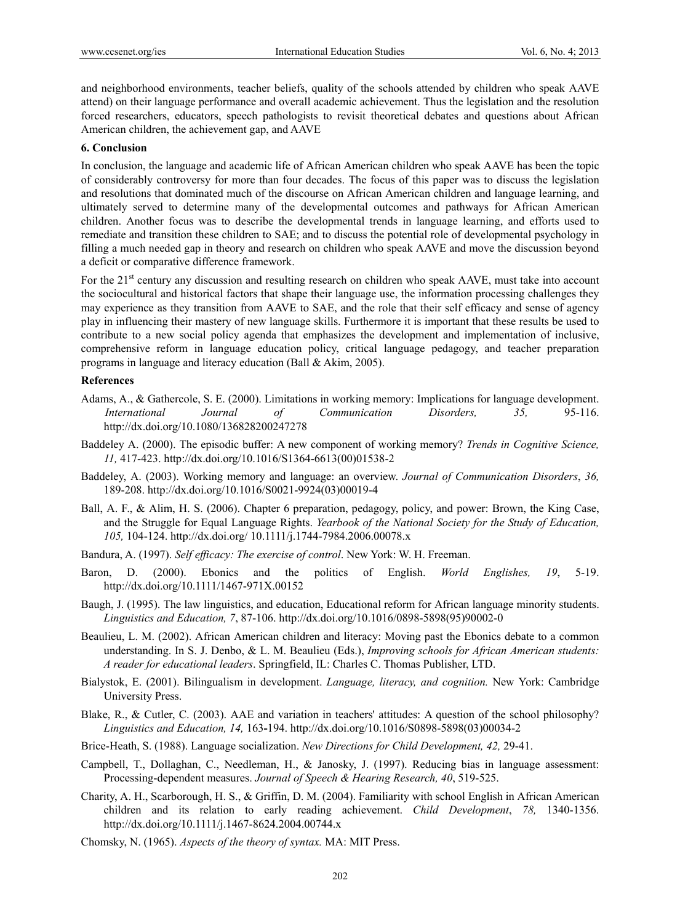and neighborhood environments, teacher beliefs, quality of the schools attended by children who speak AAVE attend) on their language performance and overall academic achievement. Thus the legislation and the resolution forced researchers, educators, speech pathologists to revisit theoretical debates and questions about African American children, the achievement gap, and AAVE

#### **6. Conclusion**

In conclusion, the language and academic life of African American children who speak AAVE has been the topic of considerably controversy for more than four decades. The focus of this paper was to discuss the legislation and resolutions that dominated much of the discourse on African American children and language learning, and ultimately served to determine many of the developmental outcomes and pathways for African American children. Another focus was to describe the developmental trends in language learning, and efforts used to remediate and transition these children to SAE; and to discuss the potential role of developmental psychology in filling a much needed gap in theory and research on children who speak AAVE and move the discussion beyond a deficit or comparative difference framework.

For the 21<sup>st</sup> century any discussion and resulting research on children who speak AAVE, must take into account the sociocultural and historical factors that shape their language use, the information processing challenges they may experience as they transition from AAVE to SAE, and the role that their self efficacy and sense of agency play in influencing their mastery of new language skills. Furthermore it is important that these results be used to contribute to a new social policy agenda that emphasizes the development and implementation of inclusive, comprehensive reform in language education policy, critical language pedagogy, and teacher preparation programs in language and literacy education (Ball & Akim, 2005).

#### **References**

- Adams, A., & Gathercole, S. E. (2000). Limitations in working memory: Implications for language development.  *International Journal of Communication Disorders, 35,* 95-116. http://dx.doi.org/10.1080/136828200247278
- Baddeley A. (2000). The episodic buffer: A new component of working memory? *Trends in Cognitive Science, 11,* 417-423. http://dx.doi.org/10.1016/S1364-6613(00)01538-2
- Baddeley, A. (2003). Working memory and language: an overview. *Journal of Communication Disorders*, *36,*  189-208. http://dx.doi.org/10.1016/S0021-9924(03)00019-4
- Ball, A. F., & Alim, H. S. (2006). Chapter 6 preparation, pedagogy, policy, and power: Brown, the King Case, and the Struggle for Equal Language Rights. *Yearbook of the National Society for the Study of Education, 105,* 104-124. http://dx.doi.org/ 10.1111/j.1744-7984.2006.00078.x
- Bandura, A. (1997). *Self efficacy: The exercise of control*. New York: W. H. Freeman.
- Baron, D. (2000). Ebonics and the politics of English. *World Englishes, 19*, 5-19. http://dx.doi.org/10.1111/1467-971X.00152
- Baugh, J. (1995). The law linguistics, and education, Educational reform for African language minority students. *Linguistics and Education, 7*, 87-106. http://dx.doi.org/10.1016/0898-5898(95)90002-0
- Beaulieu, L. M. (2002). African American children and literacy: Moving past the Ebonics debate to a common understanding. In S. J. Denbo, & L. M. Beaulieu (Eds.), *Improving schools for African American students: A reader for educational leaders*. Springfield, IL: Charles C. Thomas Publisher, LTD.
- Bialystok, E. (2001). Bilingualism in development. *Language, literacy, and cognition.* New York: Cambridge University Press.
- Blake, R., & Cutler, C. (2003). AAE and variation in teachers' attitudes: A question of the school philosophy? *Linguistics and Education, 14,* 163**-**194. http://dx.doi.org/10.1016/S0898-5898(03)00034-2
- Brice-Heath, S. (1988). Language socialization. *New Directions for Child Development, 42,* 29-41.
- Campbell, T., Dollaghan, C., Needleman, H., & Janosky, J. (1997). Reducing bias in language assessment: Processing-dependent measures. *Journal of Speech & Hearing Research, 40*, 519-525.
- Charity, A. H., Scarborough, H. S., & Griffin, D. M. (2004). Familiarity with school English in African American children and its relation to early reading achievement. *Child Development*, *78,* 1340-1356. http://dx.doi.org/10.1111/j.1467-8624.2004.00744.x
- Chomsky, N. (1965). *Aspects of the theory of syntax.* MA: MIT Press.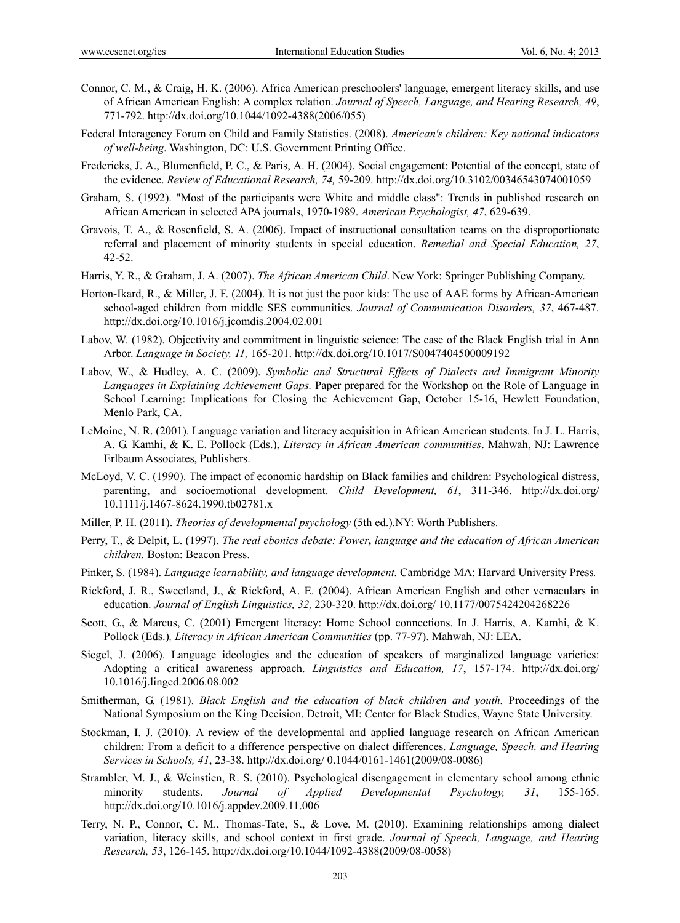- Connor, C. M., & Craig, H. K. (2006). Africa American preschoolers' language, emergent literacy skills, and use of African American English: A complex relation. *Journal of Speech, Language, and Hearing Research, 49*, 771-792. http://dx.doi.org/10.1044/1092-4388(2006/055)
- Federal Interagency Forum on Child and Family Statistics. (2008). *American's children: Key national indicators of well-being*. Washington, DC: U.S. Government Printing Office.
- Fredericks, J. A., Blumenfield, P. C., & Paris, A. H. (2004). Social engagement: Potential of the concept, state of the evidence. *Review of Educational Research, 74,* 59-209. http://dx.doi.org/10.3102/00346543074001059
- Graham, S. (1992). "Most of the participants were White and middle class": Trends in published research on African American in selected APA journals, 1970-1989. *American Psychologist, 47*, 629-639.
- Gravois, T. A., & Rosenfield, S. A. (2006). Impact of instructional consultation teams on the disproportionate referral and placement of minority students in special education. *Remedial and Special Education, 27*, 42-52.
- Harris, Y. R., & Graham, J. A. (2007). *The African American Child*. New York: Springer Publishing Company.
- Horton-Ikard, R., & Miller, J. F. (2004). It is not just the poor kids: The use of AAE forms by African-American school-aged children from middle SES communities. *Journal of Communication Disorders, 37*, 467-487. http://dx.doi.org/10.1016/j.jcomdis.2004.02.001
- Labov, W. (1982). Objectivity and commitment in linguistic science: The case of the Black English trial in Ann Arbor. *Language in Society, 11,* 165-201. http://dx.doi.org/10.1017/S0047404500009192
- Labov, W., & Hudley, A. C. (2009). *Symbolic and Structural Effects of Dialects and Immigrant Minority Languages in Explaining Achievement Gaps.* Paper prepared for the Workshop on the Role of Language in School Learning: Implications for Closing the Achievement Gap, October 15-16, Hewlett Foundation, Menlo Park, CA.
- LeMoine, N. R. (2001). Language variation and literacy acquisition in African American students. In J. L. Harris, A. G. Kamhi, & K. E. Pollock (Eds.), *Literacy in African American communities*. Mahwah, NJ: Lawrence Erlbaum Associates, Publishers.
- McLoyd, V. C. (1990). The impact of economic hardship on Black families and children: Psychological distress, parenting, and socioemotional development. *Child Development, 61*, 311-346. http://dx.doi.org/ 10.1111/j.1467-8624.1990.tb02781.x
- Miller, P. H. (2011). *Theories of developmental psychology* (5th ed.).NY: Worth Publishers.
- Perry, T., & Delpit, L. (1997). *The real ebonics debate: Power, language and the education of African American children.* Boston: Beacon Press.
- Pinker, S. (1984). *Language learnability, and language development.* Cambridge MA: Harvard University Press*.*
- Rickford, J. R., Sweetland, J., & Rickford, A. E. (2004). African American English and other vernaculars in education. *Journal of English Linguistics, 32,* 230-320. http://dx.doi.org/ 10.1177/0075424204268226
- Scott, G., & Marcus, C. (2001) Emergent literacy: Home School connections. In J. Harris, A. Kamhi, & K. Pollock (Eds.)*, Literacy in African American Communities* (pp. 77-97). Mahwah, NJ: LEA.
- Siegel, J. (2006). Language ideologies and the education of speakers of marginalized language varieties: Adopting a critical awareness approach. *Linguistics and Education, 17*, 157-174. http://dx.doi.org/ 10.1016/j.linged.2006.08.002
- Smitherman, G. (1981). *Black English and the education of black children and youth.* Proceedings of the National Symposium on the King Decision. Detroit, MI: Center for Black Studies, Wayne State University.
- Stockman, I. J. (2010). A review of the developmental and applied language research on African American children: From a deficit to a difference perspective on dialect differences. *Language, Speech, and Hearing Services in Schools, 41*, 23-38. http://dx.doi.org/ 0.1044/0161-1461(2009/08-0086)
- Strambler, M. J., & Weinstien, R. S. (2010). Psychological disengagement in elementary school among ethnic minority students. *Journal of Applied Developmental Psychology, 31*, 155-165. http://dx.doi.org/10.1016/j.appdev.2009.11.006
- Terry, N. P., Connor, C. M., Thomas-Tate, S., & Love, M. (2010). Examining relationships among dialect variation, literacy skills, and school context in first grade. *Journal of Speech, Language, and Hearing Research, 53*, 126-145. http://dx.doi.org/10.1044/1092-4388(2009/08-0058)